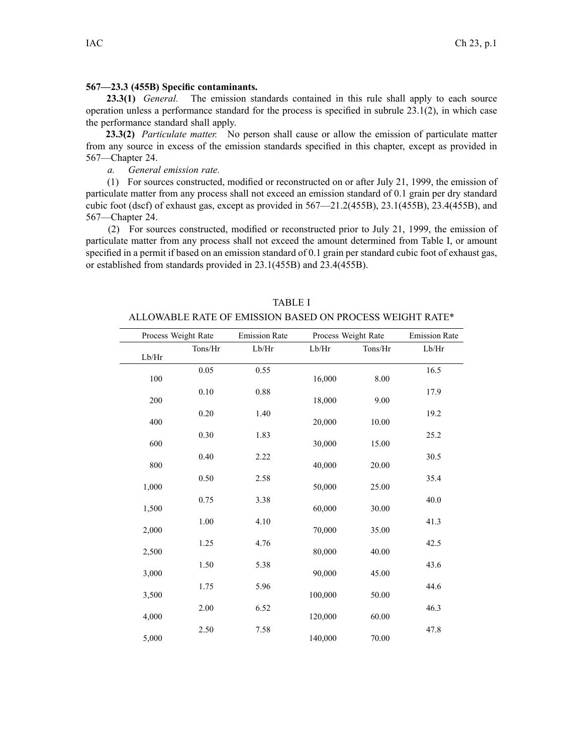## **567—23.3 (455B) Specific contaminants.**

**23.3(1)** *General.* The emission standards contained in this rule shall apply to each source operation unless <sup>a</sup> performance standard for the process is specified in subrule 23.1(2), in which case the performance standard shall apply.

**23.3(2)** *Particulate matter.* No person shall cause or allow the emission of particulate matter from any source in excess of the emission standards specified in this chapter, excep<sup>t</sup> as provided in [567—Chapter](https://www.legis.iowa.gov/docs/iac/chapter/567.24.pdf) 24.

*a. General emission rate.*

(1) For sources constructed, modified or reconstructed on or after July 21, 1999, the emission of particulate matter from any process shall not exceed an emission standard of 0.1 grain per dry standard cubic foot (dscf) of exhaust gas, excep<sup>t</sup> as provided in [567—21.2](https://www.legis.iowa.gov/docs/iac/rule/567.21.2.pdf)(455B), [23.1](https://www.legis.iowa.gov/docs/iac/rule/567.23.1.pdf)(455B), [23.4](https://www.legis.iowa.gov/docs/iac/rule/567.23.4.pdf)(455B), and [567—Chapter](https://www.legis.iowa.gov/docs/iac/chapter/567.24.pdf) 24.

(2) For sources constructed, modified or reconstructed prior to July 21, 1999, the emission of particulate matter from any process shall not exceed the amount determined from Table I, or amount specified in <sup>a</sup> permit if based on an emission standard of 0.1 grain per standard cubic foot of exhaust gas, or established from standards provided in [23.1\(455B\)](https://www.legis.iowa.gov/docs/iac/rule/567.23.1.pdf) and [23.4\(455B\)](https://www.legis.iowa.gov/docs/iac/rule/567.23.4.pdf).

|       | Process Weight Rate | <b>Emission Rate</b> | Process Weight Rate |         | <b>Emission Rate</b> |
|-------|---------------------|----------------------|---------------------|---------|----------------------|
| Lb/Hr | Tons/Hr             | Lb/Hr                | Lb/Hr               | Tons/Hr | Lb/Hr                |
| 100   | 0.05                | 0.55                 | 16,000              | 8.00    | 16.5                 |
| 200   | $0.10\,$            | $0.88\,$             | 18,000              | 9.00    | 17.9                 |
| 400   | $0.20\,$            | 1.40                 | 20,000              | 10.00   | 19.2                 |
| 600   | 0.30                | 1.83                 | 30,000              | 15.00   | 25.2                 |
| 800   | 0.40                | 2.22                 | 40,000              | 20.00   | 30.5                 |
| 1,000 | $0.50\,$            | 2.58                 | 50,000              | 25.00   | 35.4                 |
| 1,500 | 0.75                | 3.38                 | 60,000              | 30.00   | 40.0                 |
| 2,000 | 1.00                | 4.10                 | 70,000              | 35.00   | 41.3                 |
|       | 1.25                | 4.76                 |                     |         | 42.5                 |
| 2,500 | 1.50                | 5.38                 | 80,000              | 40.00   | 43.6                 |
| 3,000 | 1.75                | 5.96                 | 90,000              | 45.00   | 44.6                 |
| 3,500 | 2.00                | 6.52                 | 100,000             | 50.00   | 46.3                 |
| 4,000 | 2.50                | 7.58                 | 120,000             | 60.00   | 47.8                 |
| 5,000 |                     |                      | 140,000             | 70.00   |                      |

TABLE I ALLOWABLE RATE OF EMISSION BASED ON PROCESS WEIGHT RATE\*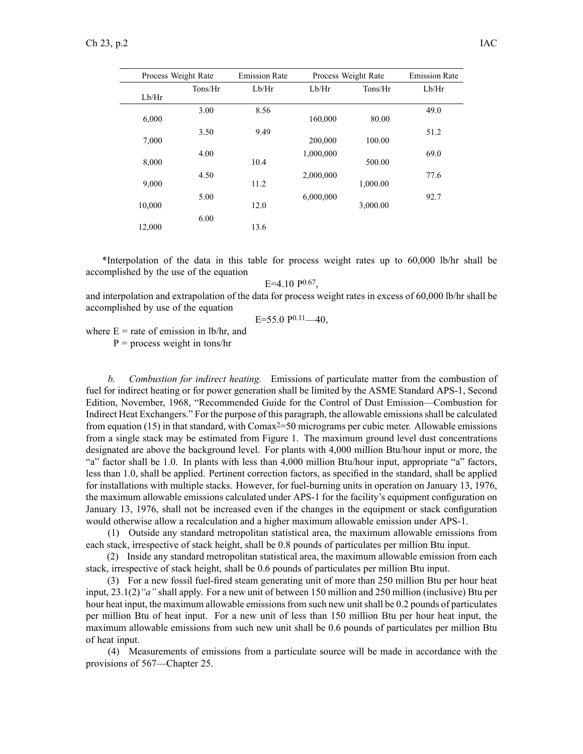| Process Weight Rate |         | <b>Emission Rate</b><br>Process Weight Rate |           | <b>Emission Rate</b> |       |
|---------------------|---------|---------------------------------------------|-----------|----------------------|-------|
| Lb/Hr               | Tons/Hr | Lb/Hr                                       | Lb/Hr     | Tons/Hr              | Lb/Hr |
| 6,000               | 3.00    | 8.56                                        | 160,000   | 80.00                | 49.0  |
| 7,000               | 3.50    | 9.49                                        | 200,000   | 100.00               | 51.2  |
| 8,000               | 4.00    | 10.4                                        | 1,000,000 | 500.00               | 69.0  |
| 9,000               | 4.50    | 11.2                                        | 2,000,000 | 1,000.00             | 77.6  |
| 10,000              | 5.00    | 12.0                                        | 6,000,000 | 3,000.00             | 92.7  |
| 12,000              | 6.00    | 13.6                                        |           |                      |       |

\*Interpolation of the data in this table for process weight rates up to 60,000 lb/hr shall be accomplished by the use of the equation

 $E=4.10 P^{0.67}$ 

and interpolation and extrapolation of the data for process weight rates in excess of 60,000 lb/hr shall be accomplished by use of the equation

 $E=55.0 P^{0.11}$  -40,

where  $E =$  rate of emission in lb/hr, and

 $P =$  process weight in tons/hr

*b. Combustion for indirect heating.* Emissions of particulate matter from the combustion of fuel for indirect heating or for power generation shall be limited by the ASME Standard APS-1, Second Edition, November, 1968, "Recommended Guide for the Control of Dust Emission—Combustion for Indirect Heat Exchangers." For the purpose of this paragraph, the allowable emissionsshall be calculated from equation (15) in that standard, with Comax<sup>2=50</sup> micrograms per cubic meter. Allowable emissions from <sup>a</sup> single stack may be estimated from Figure 1. The maximum ground level dust concentrations designated are above the background level. For plants with 4,000 million Btu/hour input or more, the "a" factor shall be 1.0. In plants with less than 4,000 million Btu/hour input, appropriate "a" factors, less than 1.0, shall be applied. Pertinent correction factors, as specified in the standard, shall be applied for installations with multiple stacks. However, for fuel-burning units in operation on January 13, 1976, the maximum allowable emissions calculated under APS-1 for the facility's equipment configuration on January 13, 1976, shall not be increased even if the changes in the equipment or stack configuration would otherwise allow <sup>a</sup> recalculation and <sup>a</sup> higher maximum allowable emission under APS-1.

(1) Outside any standard metropolitan statistical area, the maximum allowable emissions from each stack, irrespective of stack height, shall be 0.8 pounds of particulates per million Btu input.

(2) Inside any standard metropolitan statistical area, the maximum allowable emission from each stack, irrespective of stack height, shall be 0.6 pounds of particulates per million Btu input.

(3) For <sup>a</sup> new fossil fuel-fired steam generating unit of more than 250 million Btu per hour heat input, [23.1\(2\)](https://www.legis.iowa.gov/docs/iac/rule/567.23.1.pdf)*"a"* shall apply. For <sup>a</sup> new unit of between 150 million and 250 million (inclusive) Btu per hour heat input, the maximum allowable emissions from such new unit shall be 0.2 pounds of particulates per million Btu of heat input. For <sup>a</sup> new unit of less than 150 million Btu per hour heat input, the maximum allowable emissions from such new unit shall be 0.6 pounds of particulates per million Btu of heat input.

(4) Measurements of emissions from <sup>a</sup> particulate source will be made in accordance with the provisions of [567—Chapter](https://www.legis.iowa.gov/docs/iac/chapter/567.25.pdf) 25.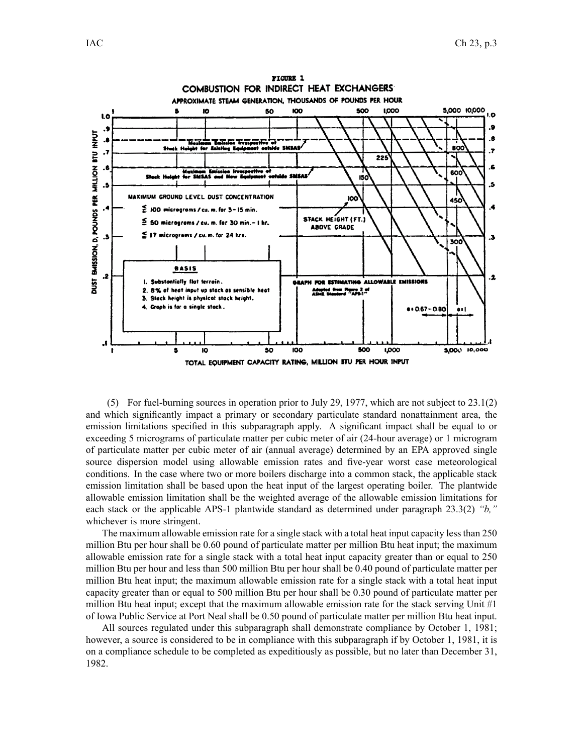

(5) For fuel-burning sources in operation prior to July 29, 1977, which are not subject to [23.1\(2\)](https://www.legis.iowa.gov/docs/iac/rule/567.23.1.pdf) and which significantly impact <sup>a</sup> primary or secondary particulate standard nonattainment area, the emission limitations specified in this subparagraph apply. A significant impact shall be equal to or exceeding 5 micrograms of particulate matter per cubic meter of air (24-hour average) or 1 microgram of particulate matter per cubic meter of air (annual average) determined by an EPA approved single source dispersion model using allowable emission rates and five-year worst case meteorological conditions. In the case where two or more boilers discharge into <sup>a</sup> common stack, the applicable stack emission limitation shall be based upon the heat input of the largest operating boiler. The plantwide allowable emission limitation shall be the weighted average of the allowable emission limitations for each stack or the applicable APS-1 plantwide standard as determined under paragraph [23.3\(2\)](https://www.legis.iowa.gov/docs/iac/rule/567.23.3.pdf) *"b,"* whichever is more stringent.

The maximum allowable emission rate for a single stack with a total heat input capacity less than 250 million Btu per hour shall be 0.60 pound of particulate matter per million Btu heat input; the maximum allowable emission rate for <sup>a</sup> single stack with <sup>a</sup> total heat input capacity greater than or equal to 250 million Btu per hour and less than 500 million Btu per hour shall be 0.40 pound of particulate matter per million Btu heat input; the maximum allowable emission rate for <sup>a</sup> single stack with <sup>a</sup> total heat input capacity greater than or equal to 500 million Btu per hour shall be 0.30 pound of particulate matter per million Btu heat input; excep<sup>t</sup> that the maximum allowable emission rate for the stack serving Unit #1 of Iowa Public Service at Port Neal shall be 0.50 pound of particulate matter per million Btu heat input.

All sources regulated under this subparagraph shall demonstrate compliance by October 1, 1981; however, <sup>a</sup> source is considered to be in compliance with this subparagraph if by October 1, 1981, it is on <sup>a</sup> compliance schedule to be completed as expeditiously as possible, but no later than December 31, 1982.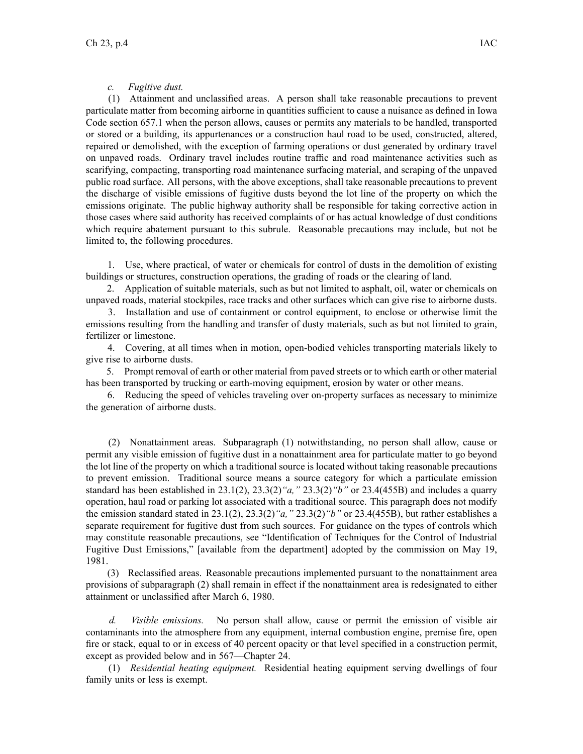## *c. Fugitive dust.*

(1) Attainment and unclassified areas. A person shall take reasonable precautions to preven<sup>t</sup> particulate matter from becoming airborne in quantities sufficient to cause <sup>a</sup> nuisance as defined in Iowa Code section [657.1](https://www.legis.iowa.gov/docs/ico/section/657.1.pdf) when the person allows, causes or permits any materials to be handled, transported or stored or <sup>a</sup> building, its appurtenances or <sup>a</sup> construction haul road to be used, constructed, altered, repaired or demolished, with the exception of farming operations or dust generated by ordinary travel on unpaved roads. Ordinary travel includes routine traffic and road maintenance activities such as scarifying, compacting, transporting road maintenance surfacing material, and scraping of the unpaved public road surface. All persons, with the above exceptions, shall take reasonable precautions to preven<sup>t</sup> the discharge of visible emissions of fugitive dusts beyond the lot line of the property on which the emissions originate. The public highway authority shall be responsible for taking corrective action in those cases where said authority has received complaints of or has actual knowledge of dust conditions which require abatement pursuan<sup>t</sup> to this subrule. Reasonable precautions may include, but not be limited to, the following procedures.

1. Use, where practical, of water or chemicals for control of dusts in the demolition of existing buildings or structures, construction operations, the grading of roads or the clearing of land.

2. Application of suitable materials, such as but not limited to asphalt, oil, water or chemicals on unpaved roads, material stockpiles, race tracks and other surfaces which can give rise to airborne dusts.

3. Installation and use of containment or control equipment, to enclose or otherwise limit the emissions resulting from the handling and transfer of dusty materials, such as but not limited to grain, fertilizer or limestone.

4. Covering, at all times when in motion, open-bodied vehicles transporting materials likely to give rise to airborne dusts.

5. Prompt removal of earth or other material from paved streets or to which earth or other material has been transported by trucking or earth-moving equipment, erosion by water or other means.

6. Reducing the speed of vehicles traveling over on-property surfaces as necessary to minimize the generation of airborne dusts.

(2) Nonattainment areas. Subparagraph (1) notwithstanding, no person shall allow, cause or permit any visible emission of fugitive dust in <sup>a</sup> nonattainment area for particulate matter to go beyond the lot line of the property on which <sup>a</sup> traditional source is located without taking reasonable precautions to preven<sup>t</sup> emission. Traditional source means <sup>a</sup> source category for which <sup>a</sup> particulate emission standard has been established in [23.1\(2\)](https://www.legis.iowa.gov/docs/iac/rule/567.23.1.pdf), [23.3\(2\)](https://www.legis.iowa.gov/docs/iac/rule/567.23.3.pdf)*"a,"* [23.3\(2\)](https://www.legis.iowa.gov/docs/iac/rule/567.23.3.pdf)*"b"* or [23.4](https://www.legis.iowa.gov/docs/iac/rule/567.23.4.pdf)(455B) and includes <sup>a</sup> quarry operation, haul road or parking lot associated with <sup>a</sup> traditional source. This paragraph does not modify the emission standard stated in [23.1\(2\)](https://www.legis.iowa.gov/docs/iac/rule/567.23.1.pdf), [23.3\(2\)](https://www.legis.iowa.gov/docs/iac/rule/567.23.3.pdf)*"a,"* [23.3\(2\)](https://www.legis.iowa.gov/docs/iac/rule/567.23.3.pdf)*"b"* or [23.4](https://www.legis.iowa.gov/docs/iac/rule/567.23.4.pdf)(455B), but rather establishes <sup>a</sup> separate requirement for fugitive dust from such sources. For guidance on the types of controls which may constitute reasonable precautions, see "Identification of Techniques for the Control of Industrial Fugitive Dust Emissions," [available from the department] adopted by the commission on May 19, 1981.

(3) Reclassified areas. Reasonable precautions implemented pursuan<sup>t</sup> to the nonattainment area provisions of subparagraph (2) shall remain in effect if the nonattainment area is redesignated to either attainment or unclassified after March 6, 1980.

*d. Visible emissions.* No person shall allow, cause or permit the emission of visible air contaminants into the atmosphere from any equipment, internal combustion engine, premise fire, open fire or stack, equal to or in excess of 40 percen<sup>t</sup> opacity or that level specified in <sup>a</sup> construction permit, excep<sup>t</sup> as provided below and in [567—Chapter](https://www.legis.iowa.gov/docs/iac/chapter/567.24.pdf) 24.

(1) *Residential heating equipment.* Residential heating equipment serving dwellings of four family units or less is exempt.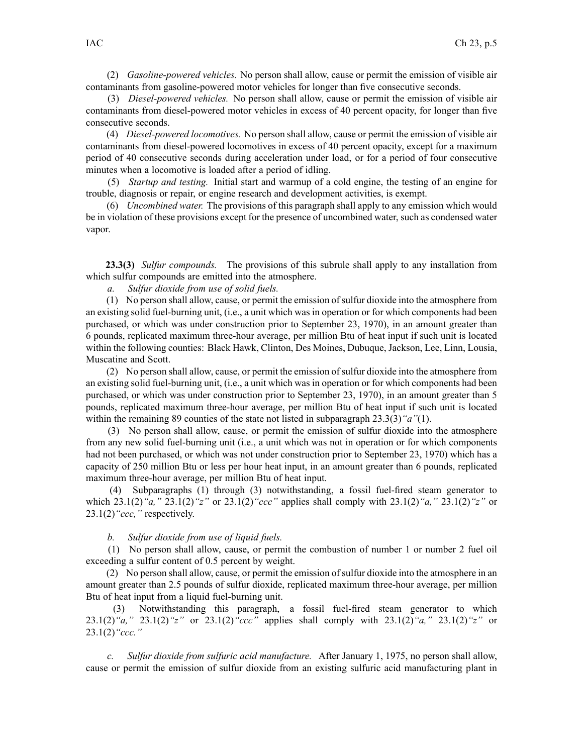(2) *Gasoline-powered vehicles.* No person shall allow, cause or permit the emission of visible air contaminants from gasoline-powered motor vehicles for longer than five consecutive seconds.

(3) *Diesel-powered vehicles.* No person shall allow, cause or permit the emission of visible air contaminants from diesel-powered motor vehicles in excess of 40 percen<sup>t</sup> opacity, for longer than five consecutive seconds.

(4) *Diesel-powered locomotives.* No person shall allow, cause or permit the emission of visible air contaminants from diesel-powered locomotives in excess of 40 percen<sup>t</sup> opacity, excep<sup>t</sup> for <sup>a</sup> maximum period of 40 consecutive seconds during acceleration under load, or for <sup>a</sup> period of four consecutive minutes when <sup>a</sup> locomotive is loaded after <sup>a</sup> period of idling.

(5) *Startup and testing.* Initial start and warmup of <sup>a</sup> cold engine, the testing of an engine for trouble, diagnosis or repair, or engine research and development activities, is exempt.

(6) *Uncombined water.* The provisions of this paragraph shall apply to any emission which would be in violation of these provisions excep<sup>t</sup> for the presence of uncombined water, such as condensed water vapor.

**23.3(3)** *Sulfur compounds.* The provisions of this subrule shall apply to any installation from which sulfur compounds are emitted into the atmosphere.

*a. Sulfur dioxide from use of solid fuels.*

(1) No person shall allow, cause, or permit the emission ofsulfur dioxide into the atmosphere from an existing solid fuel-burning unit, (i.e., <sup>a</sup> unit which was in operation or for which components had been purchased, or which was under construction prior to September 23, 1970), in an amount greater than 6 pounds, replicated maximum three-hour average, per million Btu of heat input if such unit is located within the following counties: Black Hawk, Clinton, Des Moines, Dubuque, Jackson, Lee, Linn, Lousia, Muscatine and Scott.

(2) No person shall allow, cause, or permit the emission ofsulfur dioxide into the atmosphere from an existing solid fuel-burning unit, (i.e., <sup>a</sup> unit which was in operation or for which components had been purchased, or which was under construction prior to September 23, 1970), in an amount greater than 5 pounds, replicated maximum three-hour average, per million Btu of heat input if such unit is located within the remaining 89 counties of the state not listed in subparagraph [23.3\(3\)](https://www.legis.iowa.gov/docs/iac/rule/567.23.3.pdf)*"a"*(1).

(3) No person shall allow, cause, or permit the emission of sulfur dioxide into the atmosphere from any new solid fuel-burning unit (i.e., <sup>a</sup> unit which was not in operation or for which components had not been purchased, or which was not under construction prior to September 23, 1970) which has <sup>a</sup> capacity of 250 million Btu or less per hour heat input, in an amount greater than 6 pounds, replicated maximum three-hour average, per million Btu of heat input.

(4) Subparagraphs (1) through (3) notwithstanding, <sup>a</sup> fossil fuel-fired steam generator to which [23.1\(2\)](https://www.legis.iowa.gov/docs/iac/rule/567.23.1.pdf)*"a,"* [23.1\(2\)](https://www.legis.iowa.gov/docs/iac/rule/567.23.1.pdf)*"z"* or [23.1\(2\)](https://www.legis.iowa.gov/docs/iac/rule/567.23.1.pdf)*"ccc"* applies shall comply with [23.1\(2\)](https://www.legis.iowa.gov/docs/iac/rule/567.23.1.pdf)*"a,"* [23.1\(2\)](https://www.legis.iowa.gov/docs/iac/rule/567.23.1.pdf)*"z"* or [23.1\(2\)](https://www.legis.iowa.gov/docs/iac/rule/567.23.1.pdf)*"ccc,"* respectively.

## *b. Sulfur dioxide from use of liquid fuels.*

(1) No person shall allow, cause, or permit the combustion of number 1 or number 2 fuel oil exceeding <sup>a</sup> sulfur content of 0.5 percen<sup>t</sup> by weight.

(2) No person shall allow, cause, or permit the emission ofsulfur dioxide into the atmosphere in an amount greater than 2.5 pounds of sulfur dioxide, replicated maximum three-hour average, per million Btu of heat input from <sup>a</sup> liquid fuel-burning unit.

(3) Notwithstanding this paragraph, <sup>a</sup> fossil fuel-fired steam generator to which [23.1\(2\)](https://www.legis.iowa.gov/docs/iac/rule/567.23.1.pdf)*"a,"* [23.1\(2\)](https://www.legis.iowa.gov/docs/iac/rule/567.23.1.pdf)*"z"* or [23.1\(2\)](https://www.legis.iowa.gov/docs/iac/rule/567.23.1.pdf)*"ccc"* applies shall comply with [23.1\(2\)](https://www.legis.iowa.gov/docs/iac/rule/567.23.1.pdf)*"a,"* [23.1\(2\)](https://www.legis.iowa.gov/docs/iac/rule/567.23.1.pdf)*"z"* or [23.1\(2\)](https://www.legis.iowa.gov/docs/iac/rule/567.23.1.pdf)*"ccc."*

*c. Sulfur dioxide from sulfuric acid manufacture.* After January 1, 1975, no person shall allow, cause or permit the emission of sulfur dioxide from an existing sulfuric acid manufacturing plant in